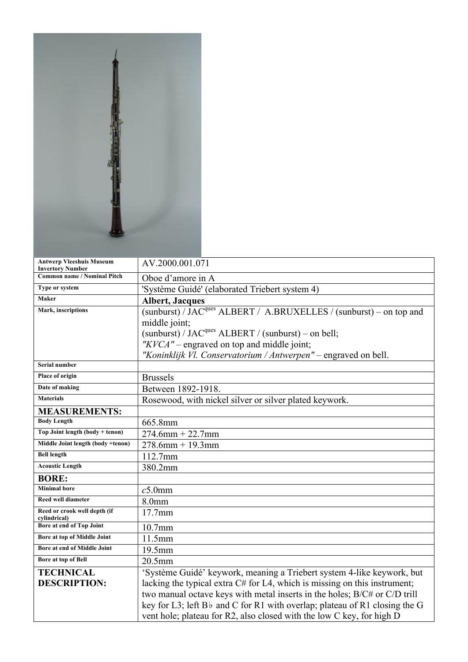| <b>Antwerp Vleeshuis Museum</b><br><b>Invertory Number</b> | AV.2000.001.071                                                                  |
|------------------------------------------------------------|----------------------------------------------------------------------------------|
| <b>Common name / Nominal Pitch</b>                         | Oboe d'amore in A                                                                |
| Type or system                                             | 'Système Guidé' (elaborated Triebert system 4)                                   |
| Maker                                                      | <b>Albert, Jacques</b>                                                           |
| Mark, inscriptions                                         | (sunburst) / JAC <sup>ques</sup> ALBERT / A.BRUXELLES / (sunburst) – on top and  |
|                                                            | middle joint;                                                                    |
|                                                            | (sunburst) / JAC <sup>ques</sup> ALBERT / (sunburst) – on bell;                  |
|                                                            | " $KVCA$ " – engraved on top and middle joint;                                   |
|                                                            | "Koninklijk VI. Conservatorium / Antwerpen" - engraved on bell.                  |
| Serial number                                              |                                                                                  |
| <b>Place of origin</b>                                     | <b>Brussels</b>                                                                  |
| Date of making                                             | Between 1892-1918.                                                               |
| <b>Materials</b>                                           | Rosewood, with nickel silver or silver plated keywork.                           |
| <b>MEASUREMENTS:</b>                                       |                                                                                  |
| <b>Body Length</b>                                         | 665.8mm                                                                          |
| Top Joint length (body + tenon)                            | $274.6$ mm + 22.7mm                                                              |
| Middle Joint length (body +tenon)                          | $278.6$ mm + 19.3mm                                                              |
| <b>Bell length</b>                                         | 112.7mm                                                                          |
| <b>Acoustic Length</b>                                     | 380.2mm                                                                          |
| <b>BORE:</b>                                               |                                                                                  |
| <b>Minimal</b> bore                                        | $c5.0$ mm                                                                        |
| <b>Reed well diameter</b>                                  | 8.0mm                                                                            |
| Reed or crook well depth (if<br>cylindrical)               | 17.7mm                                                                           |
| Bore at end of Top Joint                                   | 10.7mm                                                                           |
| Bore at top of Middle Joint                                | 11.5mm                                                                           |
| Bore at end of Middle Joint                                | 19.5mm                                                                           |
| Bore at top of Bell                                        | $20.5$ mm                                                                        |
| <b>TECHNICAL</b>                                           | 'Système Guidé' keywork, meaning a Triebert system 4-like keywork, but           |
| <b>DESCRIPTION:</b>                                        | lacking the typical extra C# for L4, which is missing on this instrument;        |
|                                                            | two manual octave keys with metal inserts in the holes; B/C# or C/D trill        |
|                                                            | key for L3; left $B\flat$ and C for R1 with overlap; plateau of R1 closing the G |
|                                                            | vent hole; plateau for R2, also closed with the low C key, for high D            |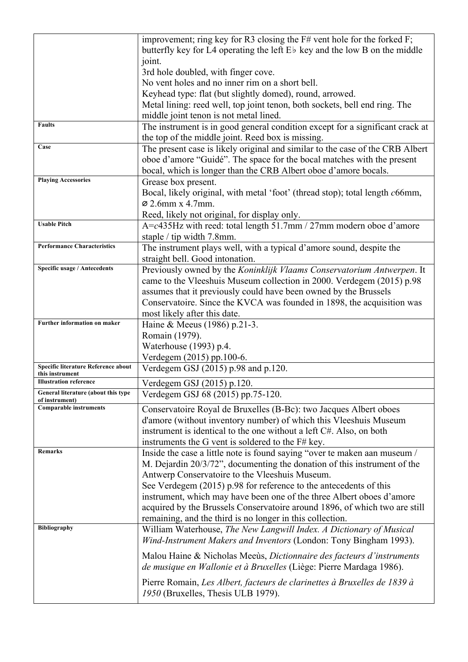|                                                  | improvement; ring key for R3 closing the F# vent hole for the forked F;                                        |
|--------------------------------------------------|----------------------------------------------------------------------------------------------------------------|
|                                                  | butterfly key for L4 operating the left Eb key and the low B on the middle                                     |
|                                                  | joint.                                                                                                         |
|                                                  | 3rd hole doubled, with finger cove.                                                                            |
|                                                  | No vent holes and no inner rim on a short bell.                                                                |
|                                                  | Keyhead type: flat (but slightly domed), round, arrowed.                                                       |
|                                                  | Metal lining: reed well, top joint tenon, both sockets, bell end ring. The                                     |
|                                                  | middle joint tenon is not metal lined.                                                                         |
| <b>Faults</b>                                    | The instrument is in good general condition except for a significant crack at                                  |
|                                                  | the top of the middle joint. Reed box is missing.                                                              |
| Case                                             | The present case is likely original and similar to the case of the CRB Albert                                  |
|                                                  | oboe d'amore "Guidé". The space for the bocal matches with the present                                         |
|                                                  | bocal, which is longer than the CRB Albert oboe d'amore bocals.                                                |
| <b>Playing Accessories</b>                       | Grease box present.                                                                                            |
|                                                  | Bocal, likely original, with metal 'foot' (thread stop); total length c66mm,                                   |
|                                                  | $\varnothing$ 2.6mm x 4.7mm.                                                                                   |
|                                                  | Reed, likely not original, for display only.                                                                   |
| <b>Usable Pitch</b>                              | A=c435Hz with reed: total length 51.7mm / 27mm modern oboe d'amore                                             |
|                                                  | staple / tip width 7.8mm.                                                                                      |
| <b>Performance Characteristics</b>               | The instrument plays well, with a typical d'amore sound, despite the                                           |
|                                                  | straight bell. Good intonation.                                                                                |
| <b>Specific usage / Antecedents</b>              | Previously owned by the Koninklijk Vlaams Conservatorium Antwerpen. It                                         |
|                                                  | came to the Vleeshuis Museum collection in 2000. Verdegem (2015) p.98                                          |
|                                                  | assumes that it previously could have been owned by the Brussels                                               |
|                                                  | Conservatoire. Since the KVCA was founded in 1898, the acquisition was                                         |
| Further information on maker                     | most likely after this date.                                                                                   |
|                                                  | Haine & Meeus (1986) p.21-3.                                                                                   |
|                                                  | Romain (1979).                                                                                                 |
|                                                  | Waterhouse (1993) p.4.<br>Verdegem (2015) pp.100-6.                                                            |
| Specific literature Reference about              | Verdegem GSJ (2015) p.98 and p.120.                                                                            |
| this instrument<br><b>Illustration reference</b> |                                                                                                                |
| General literature (about this type              | Verdegem GSJ (2015) p.120.                                                                                     |
| of instrument)                                   | Verdegem GSJ 68 (2015) pp.75-120.                                                                              |
| <b>Comparable instruments</b>                    | Conservatoire Royal de Bruxelles (B-Bc): two Jacques Albert oboes                                              |
|                                                  | d'amore (without inventory number) of which this Vleeshuis Museum                                              |
|                                                  | instrument is identical to the one without a left C#. Also, on both                                            |
|                                                  | instruments the G vent is soldered to the $F# \text{key}$ .                                                    |
| Remarks                                          | Inside the case a little note is found saying "over te maken aan museum /                                      |
|                                                  | M. Dejardin 20/3/72", documenting the donation of this instrument of the                                       |
|                                                  |                                                                                                                |
|                                                  | Antwerp Conservatoire to the Vleeshuis Museum.                                                                 |
|                                                  | See Verdegem (2015) p.98 for reference to the antecedents of this                                              |
|                                                  | instrument, which may have been one of the three Albert oboes d'amore                                          |
|                                                  | acquired by the Brussels Conservatoire around 1896, of which two are still                                     |
|                                                  | remaining, and the third is no longer in this collection.                                                      |
| <b>Bibliography</b>                              | William Waterhouse, The New Langwill Index. A Dictionary of Musical                                            |
|                                                  | Wind-Instrument Makers and Inventors (London: Tony Bingham 1993).                                              |
|                                                  | Malou Haine & Nicholas Meeùs, Dictionnaire des facteurs d'instruments                                          |
|                                                  | de musique en Wallonie et à Bruxelles (Liège: Pierre Mardaga 1986).                                            |
|                                                  |                                                                                                                |
|                                                  | Pierre Romain, Les Albert, facteurs de clarinettes à Bruxelles de 1839 à<br>1950 (Bruxelles, Thesis ULB 1979). |